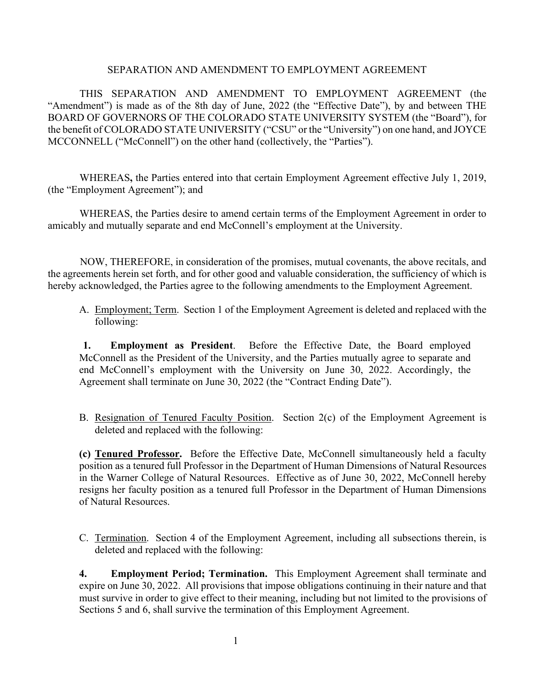## SEPARATION AND AMENDMENT TO EMPLOYMENT AGREEMENT

THIS SEPARATION AND AMENDMENT TO EMPLOYMENT AGREEMENT (the "Amendment") is made as of the 8th day of June, 2022 (the "Effective Date"), by and between THE BOARD OF GOVERNORS OF THE COLORADO STATE UNIVERSITY SYSTEM (the "Board"), for the benefit of COLORADO STATE UNIVERSITY ("CSU" or the "University") on one hand, and JOYCE MCCONNELL ("McConnell") on the other hand (collectively, the "Parties").

WHEREAS**,** the Parties entered into that certain Employment Agreement effective July 1, 2019, (the "Employment Agreement"); and

WHEREAS, the Parties desire to amend certain terms of the Employment Agreement in order to amicably and mutually separate and end McConnell's employment at the University.

NOW, THEREFORE, in consideration of the promises, mutual covenants, the above recitals, and the agreements herein set forth, and for other good and valuable consideration, the sufficiency of which is hereby acknowledged, the Parties agree to the following amendments to the Employment Agreement.

A. Employment; Term. Section 1 of the Employment Agreement is deleted and replaced with the following:

**1. Employment as President**. Before the Effective Date, the Board employed McConnell as the President of the University, and the Parties mutually agree to separate and end McConnell's employment with the University on June 30, 2022. Accordingly, the Agreement shall terminate on June 30, 2022 (the "Contract Ending Date").

B. Resignation of Tenured Faculty Position. Section 2(c) of the Employment Agreement is deleted and replaced with the following:

**(c) Tenured Professor.** Before the Effective Date, McConnell simultaneously held a faculty position as a tenured full Professor in the Department of Human Dimensions of Natural Resources in the Warner College of Natural Resources. Effective as of June 30, 2022, McConnell hereby resigns her faculty position as a tenured full Professor in the Department of Human Dimensions of Natural Resources.

C. Termination. Section 4 of the Employment Agreement, including all subsections therein, is deleted and replaced with the following:

**4. Employment Period; Termination.** This Employment Agreement shall terminate and expire on June 30, 2022. All provisions that impose obligations continuing in their nature and that must survive in order to give effect to their meaning, including but not limited to the provisions of Sections 5 and 6, shall survive the termination of this Employment Agreement.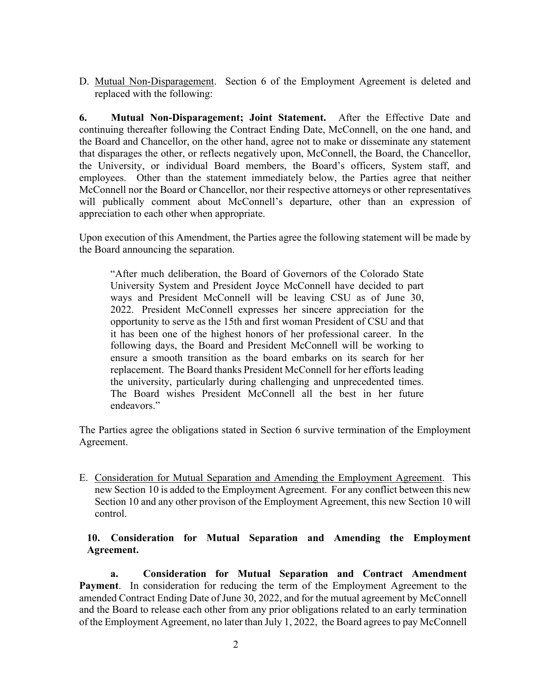D. Mutual Non-Disparagement. Section 6 of the Employment Agreement is deleted and replaced with the following:

**6. Mutual Non-Disparagement; Joint Statement.** After the Effective Date and continuing thereafter following the Contract Ending Date, McConnell, on the one hand, and the Board and Chancellor, on the other hand, agree not to make or disseminate any statement that disparages the other, or reflects negatively upon, McConnell, the Board, the Chancellor, the University, or individual Board members, the Board's officers, System staff, and employees. Other than the statement immediately below, the Parties agree that neither McConnell nor the Board or Chancellor, nor their respective attorneys or other representatives will publically comment about McConnell's departure, other than an expression of appreciation to each other when appropriate.

Upon execution of this Amendment, the Parties agree the following statement will be made by the Board announcing the separation.

"After much deliberation, the Board of Governors of the Colorado State University System and President Joyce McConnell have decided to part ways and President McConnell will be leaving CSU as of June 30, 2022. President McConnell expresses her sincere appreciation for the opportunity to serve as the 15th and first woman President of CSU and that it has been one of the highest honors of her professional career. In the following days, the Board and President McConnell will be working to ensure a smooth transition as the board embarks on its search for her replacement. The Board thanks President McConnell for her efforts leading the university, particularly during challenging and unprecedented times. The Board wishes President McConnell all the best in her future endeavors."

The Parties agree the obligations stated in Section 6 survive termination of the Employment Agreement.

E. Consideration for Mutual Separation and Amending the Employment Agreement. This new Section 10 is added to the Employment Agreement. For any conflict between this new Section 10 and any other provison of the Employment Agreement, this new Section 10 will control.

## **10. Consideration for Mutual Separation and Amending the Employment Agreement.**

**a. Consideration for Mutual Separation and Contract Amendment Payment**. In consideration for reducing the term of the Employment Agreement to the amended Contract Ending Date of June 30, 2022, and for the mutual agreement by McConnell and the Board to release each other from any prior obligations related to an early termination of the Employment Agreement, no later than July 1, 2022, the Board agrees to pay McConnell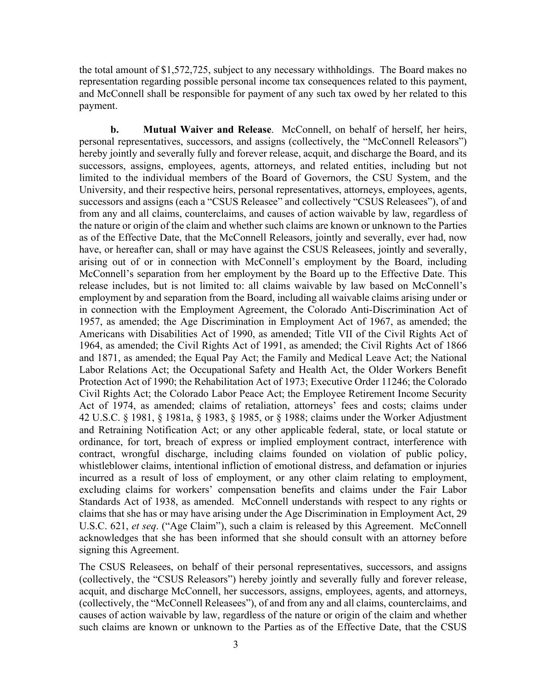the total amount of \$1,572,725, subject to any necessary withholdings. The Board makes no representation regarding possible personal income tax consequences related to this payment, and McConnell shall be responsible for payment of any such tax owed by her related to this payment.

**b. Mutual Waiver and Release**. McConnell, on behalf of herself, her heirs, personal representatives, successors, and assigns (collectively, the "McConnell Releasors") hereby jointly and severally fully and forever release, acquit, and discharge the Board, and its successors, assigns, employees, agents, attorneys, and related entities, including but not limited to the individual members of the Board of Governors, the CSU System, and the University, and their respective heirs, personal representatives, attorneys, employees, agents, successors and assigns (each a "CSUS Releasee" and collectively "CSUS Releasees"), of and from any and all claims, counterclaims, and causes of action waivable by law, regardless of the nature or origin of the claim and whether such claims are known or unknown to the Parties as of the Effective Date, that the McConnell Releasors, jointly and severally, ever had, now have, or hereafter can, shall or may have against the CSUS Releasees, jointly and severally, arising out of or in connection with McConnell's employment by the Board, including McConnell's separation from her employment by the Board up to the Effective Date. This release includes, but is not limited to: all claims waivable by law based on McConnell's employment by and separation from the Board, including all waivable claims arising under or in connection with the Employment Agreement, the Colorado Anti-Discrimination Act of 1957, as amended; the Age Discrimination in Employment Act of 1967, as amended; the Americans with Disabilities Act of 1990, as amended; Title VII of the Civil Rights Act of 1964, as amended; the Civil Rights Act of 1991, as amended; the Civil Rights Act of 1866 and 1871, as amended; the Equal Pay Act; the Family and Medical Leave Act; the National Labor Relations Act; the Occupational Safety and Health Act, the Older Workers Benefit Protection Act of 1990; the Rehabilitation Act of 1973; Executive Order 11246; the Colorado Civil Rights Act; the Colorado Labor Peace Act; the Employee Retirement Income Security Act of 1974, as amended; claims of retaliation, attorneys' fees and costs; claims under 42 U.S.C. § 1981, § 1981a, § 1983, § 1985, or § 1988; claims under the Worker Adjustment and Retraining Notification Act; or any other applicable federal, state, or local statute or ordinance, for tort, breach of express or implied employment contract, interference with contract, wrongful discharge, including claims founded on violation of public policy, whistleblower claims, intentional infliction of emotional distress, and defamation or injuries incurred as a result of loss of employment, or any other claim relating to employment, excluding claims for workers' compensation benefits and claims under the Fair Labor Standards Act of 1938, as amended. McConnell understands with respect to any rights or claims that she has or may have arising under the Age Discrimination in Employment Act, 29 U.S.C. 621, *et seq*. ("Age Claim"), such a claim is released by this Agreement. McConnell acknowledges that she has been informed that she should consult with an attorney before signing this Agreement.

The CSUS Releasees, on behalf of their personal representatives, successors, and assigns (collectively, the "CSUS Releasors") hereby jointly and severally fully and forever release, acquit, and discharge McConnell, her successors, assigns, employees, agents, and attorneys, (collectively, the "McConnell Releasees"), of and from any and all claims, counterclaims, and causes of action waivable by law, regardless of the nature or origin of the claim and whether such claims are known or unknown to the Parties as of the Effective Date, that the CSUS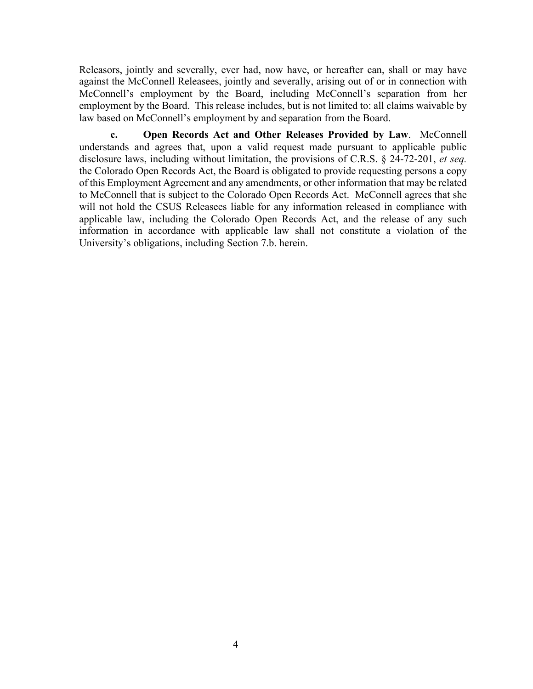Releasors, jointly and severally, ever had, now have, or hereafter can, shall or may have against the McConnell Releasees, jointly and severally, arising out of or in connection with McConnell's employment by the Board, including McConnell's separation from her employment by the Board. This release includes, but is not limited to: all claims waivable by law based on McConnell's employment by and separation from the Board.

**c. Open Records Act and Other Releases Provided by Law**. McConnell understands and agrees that, upon a valid request made pursuant to applicable public disclosure laws, including without limitation, the provisions of C.R.S. § 24-72-201, *et seq.* the Colorado Open Records Act, the Board is obligated to provide requesting persons a copy of this Employment Agreement and any amendments, or other information that may be related to McConnell that is subject to the Colorado Open Records Act. McConnell agrees that she will not hold the CSUS Releasees liable for any information released in compliance with applicable law, including the Colorado Open Records Act, and the release of any such information in accordance with applicable law shall not constitute a violation of the University's obligations, including Section 7.b. herein.